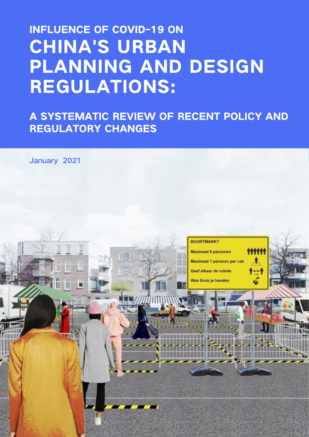# INFLUENCE OF COVID-19 ON CHINA'S URBAN PLANNING AND DESIGN REGULATIONS:

A SYSTEMATIC REVIEW OF RECENT POLICY AND REGULATORY CHANGES

January 2021

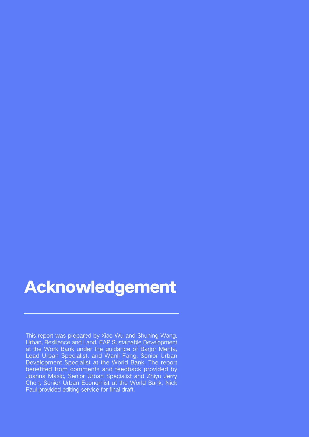## Acknowledgement

This report was prepared by Xiao Wu and Shuning Wang, Urban, Resilience and Land, EAP Sustainable Development at the Work Bank under the guidance of Barjor Mehta, Lead Urban Specialist, and Wanli Fang, Senior Urban Development Specialist at the World Bank. The report benefited from comments and feedback provided by Joanna Masic, Senior Urban Specialist and Zhiyu Jerry Chen, Senior Urban Economist at the World Bank. Nick Paul provided editing service for final draft.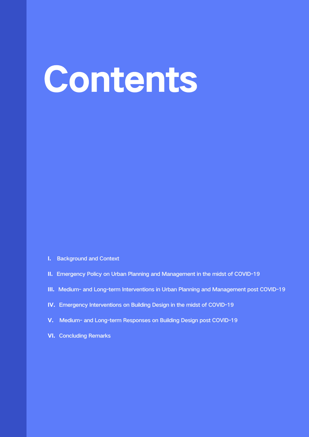# Contents

- I. Background and Context
- II. Emergency Policy on Urban Planning and Management in the midst of COVID-19
- III. Medium- and Long-term Interventions in Urban Planning and Management post COVID-19
- IV. Emergency Interventions on Building Design in the midst of COVID-19
- V. Medium- and Long-term Responses on Building Design post COVID-19
- VI. Concluding Remarks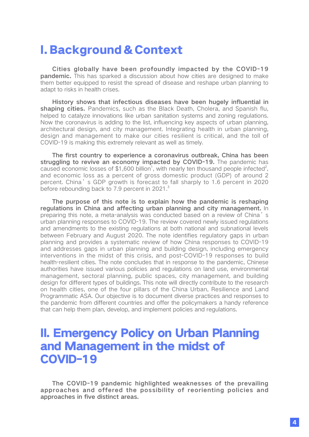## I. Background & Context

Cities globally have been profoundly impacted by the COVID-19 **pandemic.** This has sparked a discussion about how cities are designed to make them better equipped to resist the spread of disease and reshape urban planning to adapt to risks in health crises.

History shows that infectious diseases have been hugely influential in shaping cities. Pandemics, such as the Black Death, Cholera, and Spanish flu, helped to catalyze innovations like urban sanitation systems and zoning regulations. Now the coronavirus is adding to the list, influencing key aspects of urban planning, architectural design, and city management. Integrating health in urban planning, design and management to make our cities resilient is critical, and the toll of COVID-19 is making this extremely relevant as well as timely.

The first country to experience a coronavirus outbreak, China has been struggling to revive an economy impacted by COVID-19. The pandemic has caused economic losses of \$1,600 billion<sup>1</sup>, with nearly ten thousand people infected<sup>2</sup>, and economic loss as a percent of gross domestic product (GDP) of around 2 percent. China's GDP growth is forecast to fall sharply to 1.6 percent in 2020 before rebounding back to 7.9 percent in 2021.<sup>3</sup>

The purpose of this note is to explain how the pandemic is reshaping regulations in China and affecting urban planning and city management. In preparing this note, a meta-analysis was conducted based on a review of China's urban planning responses to COVID-19. The review covered newly issued regulations and amendments to the existing regulations at both national and subnational levels between February and August 2020. The note identifies regulatory gaps in urban planning and provides a systematic review of how China responses to COVID-19 and addresses gaps in urban planning and building design, including emergency interventions in the midst of this crisis, and post-COVID-19 responses to build health-resilient cities. The note concludes that in response to the pandemic, Chinese authorities have issued various policies and regulations on land use, environmental management, sectoral planning, public spaces, city management, and building design for different types of buildings. This note will directly contribute to the research on health cities, one of the four pillars of the China Urban, Resilience and Land Programmatic ASA. Our objective is to document diverse practices and responses to the pandemic from different countries and offer the policymakers a handy reference that can help them plan, develop, and implement policies and regulations.

## II. Emergency Policy on Urban Planning and Management in the midst of COVID-19

The COVID-19 pandemic highlighted weaknesses of the prevailing approaches and offered the possibility of reorienting policies and approaches in five distinct areas.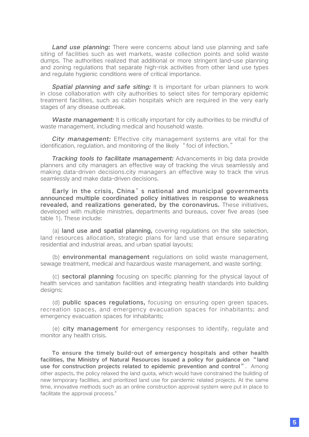Land use planning: There were concerns about land use planning and safe siting of facilities such as wet markets, waste collection points and solid waste dumps. The authorities realized that additional or more stringent land-use planning and zoning regulations that separate high-risk activities from other land use types and regulate hygienic conditions were of critical importance.

**Spatial planning and safe siting:** It is important for urban planners to work in close collaboration with city authorities to select sites for temporary epidemic treatment facilities, such as cabin hospitals which are required in the very early stages of any disease outbreak.

Waste management: It is critically important for city authorities to be mindful of waste management, including medical and household waste.

City management: Effective city management systems are vital for the identification, regulation, and monitoring of the likely "foci of infection."

**Tracking tools to facilitate management:** Advancements in big data provide planners and city managers an effective way of tracking the virus seamlessly and making data-driven decisions.city managers an effective way to track the virus seamlessly and make data-driven decisions.

Early in the crisis, China's national and municipal governments announced multiple coordinated policy initiatives in response to weakness revealed, and realizations generated, by the coronavirus. These initiatives, developed with multiple ministries, departments and bureaus, cover five areas (see table 1). These include:

(a) land use and spatial planning, covering regulations on the site selection, land resources allocation, strategic plans for land use that ensure separating residential and industrial areas, and urban spatial layouts;

(b) environmental management regulations on solid waste management, sewage treatment, medical and hazardous waste management, and waste sorting;

(c) sectoral planning focusing on specific planning for the physical layout of health services and sanitation facilities and integrating health standards into building designs;

(d) public spaces regulations, focusing on ensuring open green spaces, recreation spaces, and emergency evacuation spaces for inhabitants; and emergency evacuation spaces for inhabitants;

(e) city management for emergency responses to identify, regulate and monitor any health crisis.

To ensure the timely build-out of emergency hospitals and other health facilities, the Ministry of Natural Resources issued a policy for guidance on "land use for construction projects related to epidemic prevention and control". Among other aspects, the policy relaxed the land quota, which would have constrained the building of new temporary facilities, and prioritized land use for pandemic related projects. At the same time, innovative methods such as an online construction approval system were put in place to facilitate the approval process.<sup>4</sup>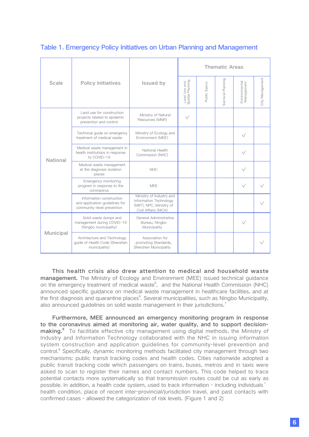|                  |                                                                                          |                                                                                                       | <b>Thematic Areas</b>            |              |                   |                             |                 |  |
|------------------|------------------------------------------------------------------------------------------|-------------------------------------------------------------------------------------------------------|----------------------------------|--------------|-------------------|-----------------------------|-----------------|--|
| <b>Scale</b>     | <b>Policy Initiatives</b>                                                                | <b>Issued by</b>                                                                                      | Land Use and<br>Spatial Planning | Public Space | Sectoral Planning | Environmental<br>Management | City Management |  |
| <b>National</b>  | Land use for construction<br>projects related to epidemic<br>prevention and control      | Ministry of Natural<br>Resources (MNR)                                                                | $\sqrt{}$                        |              |                   |                             |                 |  |
|                  | Technical guide on emergency<br>treatment of medical waste                               | Ministry of Ecology and<br>Environment (MEE)                                                          |                                  |              |                   | $\sqrt{}$                   |                 |  |
|                  | Medical waste management in<br>health institutions in response<br>to COVID-19            | National Health<br>Commission (NHC)                                                                   |                                  |              |                   | $\sqrt{}$                   |                 |  |
|                  | Medical waste management<br>at the diagnosis isolation<br>places                         | <b>NHC</b>                                                                                            |                                  |              |                   | $\sqrt{}$                   |                 |  |
|                  | Emergency monitoring<br>program in response to the<br>coronavirus                        | <b>MFF</b>                                                                                            |                                  |              |                   | √                           |                 |  |
|                  | Information construction<br>and application guidelines for<br>community-level prevention | Ministry of Industry and<br>Information Technology<br>(MIIT), NPC, Ministry of<br>Civil Affairs (MCA) |                                  |              |                   |                             |                 |  |
| <b>Municipal</b> | Solid waste dumps and<br>management during COVID-19<br>(Ningbo municipality)             | General Administrative<br>Bureau, Ningbo<br>Municipality                                              |                                  |              |                   | $\sqrt{}$                   |                 |  |
|                  | Architecture and Technology<br>quide of Health Code (Shenzhen<br>municipality)           | Association for<br>promoting Standards,<br>Shenzhen Municipality                                      |                                  |              |                   |                             |                 |  |

#### Table 1. Emergency Policy Initiatives on Urban Planning and Management

This health crisis also drew attention to medical and household waste management. The Ministry of Ecology and Environment (MEE) issued technical guidance on the emergency treatment of medical waste<sup>5</sup>, and the National Health Commission (NHC) announced specific guidance on medical waste management in healthcare facilities, and at the first diagnosis and quarantine places<sup>6</sup>. Several municipalities, such as Ningbo Municipality, also announced guidelines on solid waste management in their jurisdictions.<sup>7</sup>

Furthermore, MEE announced an emergency monitoring program in response to the coronavirus aimed at monitoring air, water quality, and to support decisionmaking.<sup>8</sup> To facilitate effective city management using digital methods, the Ministry of Industry and Information Technology collaborated with the NHC in issuing information system construction and application guidelines for community-level prevention and control.<sup>9</sup> Specifically, dynamic monitoring methods facilitated city management through two mechanisms: public transit tracking codes and health codes. Cities nationwide adopted a public transit tracking code which passengers on trains, buses, metros and in taxis were asked to scan to register their names and contact numbers. This code helped to trace potential contacts more systematically so that transmission routes could be cut as early as possible. In addition, a health code system, used to track information - including individuals' health condition, place of recent inter-provincial/jurisdiction travel, and past contacts with confirmed cases - allowed the categorization of risk levels. (Figure 1 and 2)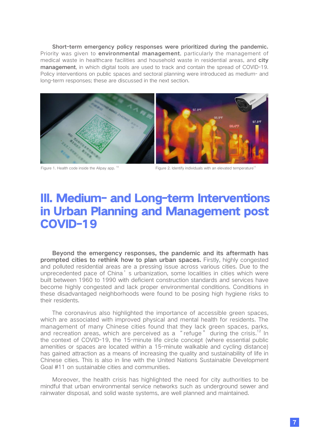Short-term emergency policy responses were prioritized during the pandemic. Priority was given to **environmental management**, particularly the management of medical waste in healthcare facilities and household waste in residential areas, and city management, in which digital tools are used to track and contain the spread of COVID-19. Policy interventions on public spaces and sectoral planning were introduced as medium- and long-term responses; these are discussed in the next section.



Figure 1. Health code inside the Alipay app. <sup>10</sup> Figure 2. Identify individuals with an elevated temperature<sup>11</sup>

## III. Medium- and Long-term Interventions in Urban Planning and Management post COVID-19

Beyond the emergency responses, the pandemic and its aftermath has prompted cities to rethink how to plan urban spaces. Firstly, highly congested and polluted residential areas are a pressing issue across various cities. Due to the unprecedented pace of China's urbanization, some localities in cities which were built between 1960 to 1990 with deficient construction standards and services have become highly congested and lack proper environmental conditions. Conditions in these disadvantaged neighborhoods were found to be posing high hygiene risks to their residents.

The coronavirus also highlighted the importance of accessible green spaces, which are associated with improved physical and mental health for residents. The management of many Chinese cities found that they lack green spaces, parks, and recreation areas, which are perceived as a "refuge" during the crisis.<sup>12</sup> In the context of COVID-19, the 15-minute life circle concept (where essential public amenities or spaces are located within a 15-minute walkable and cycling distance) has gained attraction as a means of increasing the quality and sustainability of life in Chinese cities. This is also in line with the United Nations Sustainable Development Goal #11 on sustainable cities and communities.

Moreover, the health crisis has highlighted the need for city authorities to be mindful that urban environmental service networks such as underground sewer and rainwater disposal, and solid waste systems, are well planned and maintained.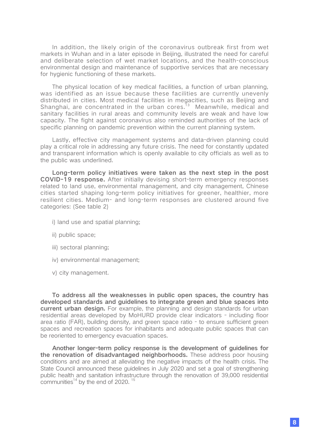In addition, the likely origin of the coronavirus outbreak first from wet markets in Wuhan and in a later episode in Beijing, illustrated the need for careful and deliberate selection of wet market locations, and the health-conscious environmental design and maintenance of supportive services that are necessary for hygienic functioning of these markets.

The physical location of key medical facilities, a function of urban planning, was identified as an issue because these facilities are currently unevenly distributed in cities. Most medical facilities in megacities, such as Beijing and Shanghai, are concentrated in the urban cores.<sup>13</sup> Meanwhile, medical and sanitary facilities in rural areas and community levels are weak and have low capacity. The fight against coronavirus also reminded authorities of the lack of specific planning on pandemic prevention within the current planning system.

Lastly, effective city management systems and data-driven planning could play a critical role in addressing any future crisis. The need for constantly updated and transparent information which is openly available to city officials as well as to the public was underlined.

Long-term policy initiatives were taken as the next step in the post COVID-19 response. After initially devising short-term emergency responses related to land use, environmental management, and city management, Chinese cities started shaping long-term policy initiatives for greener, healthier, more resilient cities. Medium- and long-term responses are clustered around five categories: (See table 2)

- i) land use and spatial planning;
- ii) public space;
- iii) sectoral planning:
- iv) environmental management;
- v) city management.

To address all the weaknesses in public open spaces, the country has developed standards and guidelines to integrate green and blue spaces into current urban design. For example, the planning and design standards for urban residential areas developed by MoHURD provide clear indicators - including floor area ratio (FAR), building density, and green space ratio - to ensure sufficient green spaces and recreation spaces for inhabitants and adequate public spaces that can be reoriented to emergency evacuation spaces.

Another longer-term policy response is the development of guidelines for the renovation of disadvantaged neighborhoods. These address poor housing conditions and are aimed at alleviating the negative impacts of the health crisis. The State Council announced these guidelines in July 2020 and set a goal of strengthening public health and sanitation infrastructure through the renovation of 39,000 residential communities $14}$  by the end of 2020.  $15$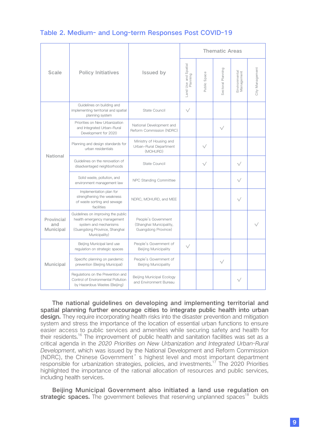#### Table 2. Medium- and Long-term Responses Post COVID-19

|                                       |                                                                                                                                              |                                                                       | <b>Thematic Areas</b>            |              |                   |                             |                 |  |
|---------------------------------------|----------------------------------------------------------------------------------------------------------------------------------------------|-----------------------------------------------------------------------|----------------------------------|--------------|-------------------|-----------------------------|-----------------|--|
| <b>Scale</b>                          | <b>Policy Initiatives</b>                                                                                                                    | <b>Issued by</b>                                                      | Land Use and Spatial<br>Planning | Public Space | Sectoral Planning | Environmental<br>Management | City Management |  |
| <b>National</b>                       | Guidelines on building and<br>implementing territorial and spatial<br>planning system                                                        | State Council                                                         | $\sqrt{}$                        |              |                   |                             |                 |  |
|                                       | Priorities on New Urbanization<br>and Integrated Urban-Rural<br>Development for 2020                                                         | National Development and<br>Reform Commission (NDRC)                  |                                  |              | $\sqrt{}$         |                             |                 |  |
|                                       | Planning and design standards for<br>urban residentials                                                                                      | Ministry of Housing and<br>Urban-Rural Department<br>(MOHURD)         |                                  | √            |                   |                             |                 |  |
|                                       | Guidelines on the renovation of<br>disadvantaged neighborhoods                                                                               | State Council                                                         |                                  | $\sqrt{}$    |                   | $\sqrt{}$                   |                 |  |
|                                       | Solid waste, pollution, and<br>environment management law                                                                                    | NPC Standing Committee                                                |                                  |              |                   | $\sqrt{}$                   |                 |  |
|                                       | Implementation plan for<br>strengthening the weakness<br>of waste sorting and sewage<br>facilities                                           | NDRC, MOHURD, and MEE                                                 |                                  |              |                   | 1/                          |                 |  |
| Provincial<br>and<br><b>Municipal</b> | Guidelines on improving the public<br>health emergency management<br>system and mechanisms<br>(Guangdong Province, Shanghai<br>Municipality) | People's Government<br>(Shanghai Municipality,<br>Guangdong Province) |                                  |              |                   |                             |                 |  |
| Municipal                             | Beijing Municipal land use<br>regulation on strategic spaces                                                                                 | People's Government of<br><b>Beijing Municipality</b>                 | $\sqrt{}$                        |              |                   |                             |                 |  |
|                                       | Specific planning on pandemic<br>prevention (Beijing Municipal)                                                                              | People's Government of<br><b>Beijing Municipality</b>                 |                                  |              | $\sqrt{}$         |                             |                 |  |
|                                       | Regulations on the Prevention and<br>Control of Environmental Pollution<br>by Hazardous Wastes (Beijing)                                     | Beijing Municipal Ecology<br>and Environment Bureau                   |                                  |              |                   | $\sqrt{}$                   |                 |  |

The national guidelines on developing and implementing territorial and spatial planning further encourage cities to integrate public health into urban design. They require incorporating health risks into the disaster prevention and mitigation system and stress the importance of the location of essential urban functions to ensure easier access to public services and amenities while securing safety and health for their residents.<sup>16</sup> The improvement of public health and sanitation facilities was set as a critical agenda in the 2020 Priorities on New Urbanization and Integrated Urban-Rural Development, which was issued by the National Development and Reform Commission (NDRC), the Chinese Government's highest level and most important department responsible for urbanization strategies, policies, and investments.<sup>17</sup> The 2020 Priorities highlighted the importance of the rational allocation of resources and public services, including health services.

Beijing Municipal Government also initiated a land use regulation on strategic spaces. The government believes that reserving unplanned spaces<sup>18</sup> builds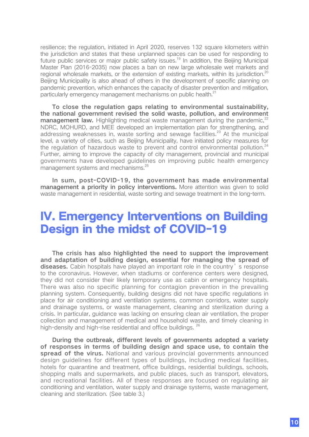resilience; the regulation, initiated in April 2020, reserves 132 square kilometers within the jurisdiction and states that these unplanned spaces can be used for responding to future public services or major public safety issues.<sup>19</sup> In addition, the Beijing Municipal Master Plan (2016-2035) now places a ban on new large wholesale wet markets and regional wholesale markets, or the extension of existing markets, within its jurisdiction.<sup>20</sup> Beijing Municipality is also ahead of others in the development of specific planning on pandemic prevention, which enhances the capacity of disaster prevention and mitigation, particularly emergency management mechanisms on public health.<sup>21</sup>

To close the regulation gaps relating to environmental sustainability, the national government revised the solid waste, pollution, and environment management law. Highlighting medical waste management during the pandemic.<sup>22</sup> NDRC, MOHURD, and MEE developed an implementation plan for strengthening, and addressing weaknesses in, waste sorting and sewage facilities.<sup>23</sup> At the municipal level, a variety of cities, such as Beijing Municipality, have initiated policy measures for the regulation of hazardous waste to prevent and control environmental pollution. $24$ Further, aiming to improve the capacity of city management, provincial and municipal governments have developed guidelines on improving public health emergency management systems and mechanisms.<sup>25</sup>

In sum, post-COVID-19, the government has made environmental management a priority in policy interventions. More attention was given to solid waste management in residential, waste sorting and sewage treatment in the long-term.

### IV. Emergency Interventions on Building Design in the midst of COVID-19

The crisis has also highlighted the need to support the improvement and adaptation of building design, essential for managing the spread of diseases. Cabin hospitals have played an important role in the country's response to the coronavirus. However, when stadiums or conference centers were designed, they did not consider their likely temporary use as cabin or emergency hospitals. There was also no specific planning for contagion prevention in the prevailing planning system. Consequently, building designs did not have specific regulations in place for air conditioning and ventilation systems, common corridors, water supply and drainage systems, or waste management, cleaning and sterilization during a crisis. In particular, guidance was lacking on ensuring clean air ventilation, the proper collection and management of medical and household waste, and timely cleaning in high-density and high-rise residential and office buildings. <sup>26</sup>

During the outbreak, different levels of governments adopted a variety of responses in terms of building design and space use, to contain the spread of the virus. National and various provincial governments announced design guidelines for different types of buildings, including medical facilities, hotels for quarantine and treatment, office buildings, residential buildings, schools, shopping malls and supermarkets, and public places, such as transport, elevators, and recreational facilities. All of these responses are focused on regulating air conditioning and ventilation, water supply and drainage systems, waste management, cleaning and sterilization. (See table 3.)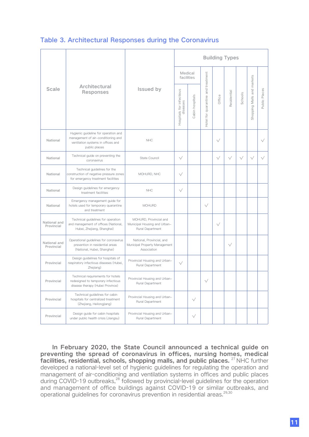#### Table 3. Architectural Responses during the Coronavirus

|                            |                                                                                                                                   |                                                                            | <b>Building Types</b>    |                 |                                    |              |             |           |                                             |           |
|----------------------------|-----------------------------------------------------------------------------------------------------------------------------------|----------------------------------------------------------------------------|--------------------------|-----------------|------------------------------------|--------------|-------------|-----------|---------------------------------------------|-----------|
|                            |                                                                                                                                   |                                                                            | Medical<br>facilities    |                 |                                    |              |             |           |                                             |           |
| <b>Scale</b>               | Architectural<br><b>Responses</b>                                                                                                 | <b>Issued by</b>                                                           | Hospitals for infectious | Cabin hospitals | Hotel for quarantine and treatment | Office       | Residential | Schools   | Shopping Malls and markets<br>Public Places |           |
| National                   | Hygienic guideline for operation and<br>management of air-conditioning and<br>ventilation systems in offices and<br>public places | <b>NHC</b>                                                                 |                          |                 |                                    | $\checkmark$ |             | $\sqrt{}$ |                                             |           |
| National                   | Technical guide on preventing the<br>coronavirus                                                                                  | State Council                                                              | $\sqrt{}$                |                 |                                    | $\sqrt{}$    | $\sqrt{}$   | $\sqrt{}$ | $\sqrt{}$                                   | $\sqrt{}$ |
| National                   | Technical guidelines for the<br>construction of negative pressure zones<br>for emergency treatment facilities                     | MOHURD, NHC                                                                | $\sqrt{}$                |                 |                                    |              |             |           |                                             |           |
| National                   | Design guidelines for emergency<br>treatment facilities                                                                           | <b>NHC</b>                                                                 | $\sqrt{}$                |                 |                                    |              |             |           |                                             |           |
| National                   | Emergency management guide for<br>hotels used for temporary quarantine<br>and treatment                                           | <b>MOHURD</b>                                                              |                          |                 | $\sqrt{}$                          |              |             |           |                                             |           |
| National and<br>Provincial | Technical guidelines for operation<br>and management of offices (National,<br>Hubei, Zhejiang, Shanghai)                          | MOHURD, Provincial and<br>Municipal Housing and Urban-<br>Rural Department |                          |                 |                                    | $\checkmark$ |             |           |                                             |           |
| National and<br>Provincial | Operational guidelines for coronavirus<br>prevention in residential areas<br>(National, Hubei, Shanghai)                          | National, Provincial, and<br>Municipal Property Management<br>Association  |                          |                 |                                    |              | $\sqrt{}$   |           |                                             |           |
| Provincial                 | Design guidelines for hospitals of<br>respiratory infectious diseases (Hubei,<br>Zhejiang)                                        | Provincial Housing and Urban-<br>Rural Department                          | $\sqrt{}$                |                 |                                    |              |             |           |                                             |           |
| Provincial                 | Technical requirements for hotels<br>redesigned to temporary infectious<br>disease therapy (Hubei Province)                       | Provincial Housing and Urban-<br>Rural Department                          |                          |                 | $\sqrt{}$                          |              |             |           |                                             |           |
| Provincial                 | Technical guidelines for cabin<br>hospitals for centralized treatment<br>(Zhejiang, Heilongjiang)                                 | Provincial Housing and Urban-<br>Rural Department                          |                          | $\sqrt{}$       |                                    |              |             |           |                                             |           |
| Provincial                 | Design guide for cabin hospitals<br>under public health crisis (Jiangsu)                                                          | Provincial Housing and Urban-<br>Rural Department                          |                          | $\sqrt{}$       |                                    |              |             |           |                                             |           |

In February 2020, the State Council announced a technical guide on preventing the spread of coronavirus in offices, nursing homes, medical facilities, residential, schools, shopping malls, and public places. <sup>27</sup> NHC further developed a national-level set of hygienic guidelines for regulating the operation and management of air-conditioning and ventilation systems in offices and public places during COVID-19 outbreaks,<sup>28</sup> followed by provincial-level guidelines for the operation and management of office buildings against COVID-19 or similar outbreaks, and operational quidelines for coronavirus prevention in residential areas.<sup>29,30</sup>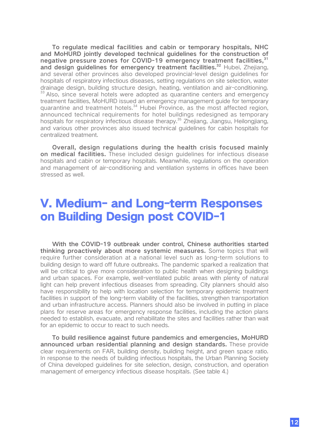To regulate medical facilities and cabin or temporary hospitals, NHC and MoHURD jointly developed technical guidelines for the construction of negative pressure zones for COVID-19 emergency treatment facilities, 31 and design guidelines for emergency treatment facilities.<sup>32</sup> Hubei, Zhejiang, and several other provinces also developed provincial-level design guidelines for hospitals of respiratory infectious diseases, setting regulations on site selection, water drainage design, building structure design, heating, ventilation and air-conditioning. <sup>33</sup> Also, since several hotels were adopted as quarantine centers and emergency treatment facilities, MoHURD issued an emergency management guide for temporary quarantine and treatment hotels.<sup>34</sup> Hubei Province, as the most affected region, announced technical requirements for hotel buildings redesigned as temporary hospitals for respiratory infectious disease therapy.<sup>35</sup> Zhejiang, Jiangsu, Heilongjiang, and various other provinces also issued technical guidelines for cabin hospitals for centralized treatment.

Overall, design regulations during the health crisis focused mainly on medical facilities. These included design guidelines for infectious disease hospitals and cabin or temporary hospitals. Meanwhile, regulations on the operation and management of air-conditioning and ventilation systems in offices have been stressed as well.

## V. Medium- and Long-term Responses on Building Design post COVID-1

With the COVID-19 outbreak under control, Chinese authorities started thinking proactively about more systemic measures. Some topics that will require further consideration at a national level such as long-term solutions to building design to ward off future outbreaks. The pandemic sparked a realization that will be critical to give more consideration to public health when designing buildings and urban spaces. For example, well-ventilated public areas with plenty of natural light can help prevent infectious diseases from spreading. City planners should also have responsibility to help with location selection for temporary epidemic treatment facilities in support of the long-term viability of the facilities, strengthen transportation and urban infrastructure access. Planners should also be involved in putting in place plans for reserve areas for emergency response facilities, including the action plans needed to establish, evacuate, and rehabilitate the sites and facilities rather than wait for an epidemic to occur to react to such needs.

To build resilience against future pandemics and emergencies, MoHURD announced urban residential planning and design standards. These provide clear requirements on FAR, building density, building height, and green space ratio. In response to the needs of building infectious hospitals, the Urban Planning Society of China developed guidelines for site selection, design, construction, and operation management of emergency infectious disease hospitals. (See table 4.)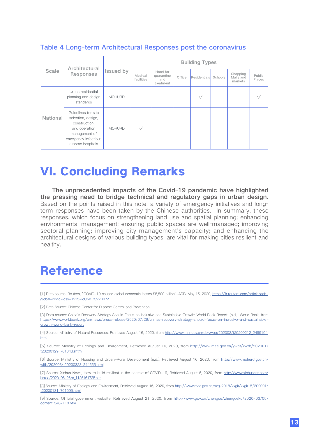| <b>Scale</b>    | Architectural<br><b>Responses</b>                                                                                                         | <b>Issued by</b> | <b>Building Types</b> |                                             |        |              |         |                                  |                  |
|-----------------|-------------------------------------------------------------------------------------------------------------------------------------------|------------------|-----------------------|---------------------------------------------|--------|--------------|---------|----------------------------------|------------------|
|                 |                                                                                                                                           |                  | Medical<br>facilities | Hotel for<br>quarantine<br>and<br>treatment | Office | Residentials | Schools | Shopping<br>Malls and<br>markets | Public<br>Places |
| <b>National</b> | Urban residential<br>planning and design<br>standards                                                                                     | <b>MOHURD</b>    |                       |                                             |        | $\sqrt{}$    |         |                                  |                  |
|                 | Guidelines for site<br>selection, design,<br>construction,<br>and operation<br>management of<br>emergency infectious<br>disease hospitals | <b>MOHURD</b>    | $\sqrt{}$             |                                             |        |              |         |                                  |                  |

#### Table 4 Long-term Architectural Responses post the coronavirus

## VI. Concluding Remarks

The unprecedented impacts of the Covid-19 pandemic have highlighted the pressing need to bridge technical and regulatory gaps in urban design. Based on the points raised in this note, a variety of emergency initiatives and longterm responses have been taken by the Chinese authorities. In summary, these responses, which focus on strengthening land-use and spatial planning; enhancing environmental management; ensuring public spaces are well-managed; improving sectoral planning; improving city management's capacity; and enhancing the architectural designs of various building types, are vital for making cities resilient and healthy.

## Reference

[1] Data source: Reuters, "COVID-19 caused global economic losses \$8,800 billion"-ADB. May 15, 2020, [https://fr.reuters.com/article/adb](https://fr.reuters.com/article/adb-global-covid-loss-0515-idCNKBS22R07Z)[global-covid-loss-0515-idCNKBS22R07Z](https://fr.reuters.com/article/adb-global-covid-loss-0515-idCNKBS22R07Z)

[2] Data Source: Chinese Center for Disease Control and Prevention

[3] Data source: China's Recovery Strategy Should Focus on Inclusive and Sustainable Growth: World Bank Report. (n.d.). World Bank, from [https://www.worldbank.org/en/news/press-release/2020/07/29/chinas-recovery-strategy-should-focus-on-inclusive-and-sustainable](https://www.worldbank.org/en/news/press-release/2020/07/29/chinas-recovery-strategy-should-focus-on-inclusive-and-sustainable-growth-world-bank-report)[growth-world-bank-report](https://www.worldbank.org/en/news/press-release/2020/07/29/chinas-recovery-strategy-should-focus-on-inclusive-and-sustainable-growth-world-bank-report)

[4] Source: Ministry of Natural Resources, Retrieved August 16, 2020, from [http://www.mnr.gov.cn/dt/ywbb/202002/t20200212\\_2499104.](http://www.mnr.gov.cn/dt/ywbb/202002/t20200212_2499104.html) [html](http://www.mnr.gov.cn/dt/ywbb/202002/t20200212_2499104.html)

[5] Source: Ministry of Ecology and Environment, Retrieved August 16, 2020, from [http://www.mee.gov.cn/ywdt/xwfb/202001/](http://www.mee.gov.cn/ywdt/xwfb/202001/t20200129_761043.shtml) [t20200129\\_761043.shtml](http://www.mee.gov.cn/ywdt/xwfb/202001/t20200129_761043.shtml)

[6] Source: Ministry of Housing and Urban-Rural Development (n.d.). Retrieved August 16, 2020, from [http://www.mohurd.gov.cn/](http://www.mohurd.gov.cn/wjfb/202003/t20200323_244555.html) [wjfb/202003/t20200323\\_244555.html](http://www.mohurd.gov.cn/wjfb/202003/t20200323_244555.html)

[7] Source: Xinhua News, How to build resilient in the context of COVID-19, Retrieved August 6, 2020, from [http://www.xinhuanet.com/](http://www.xinhuanet.com/house/2020-06-26/c_1126161728.htm ) [house/2020-06-26/c\\_1126161728.htm](http://www.xinhuanet.com/house/2020-06-26/c_1126161728.htm )

[\[8\] Source: Ministry of Ecology and Environment, Retrieved August 16, 2020, from http://www.mee.gov.cn/xxgk2018/xxgk/xxgk15/202001/](http://www.xinhuanet.com/house/2020-06-26/c_1126161728.htm ) [t20200131\\_761095.html](http://www.xinhuanet.com/house/2020-06-26/c_1126161728.htm )

[\[9\] Source: Official government website, Retrieved August 21, 2020, from http://www.gov.cn/zhengce/zhengceku/2020-03/05/](http://www.xinhuanet.com/house/2020-06-26/c_1126161728.htm ) [content\\_5487110.htm](http://www.xinhuanet.com/house/2020-06-26/c_1126161728.htm )